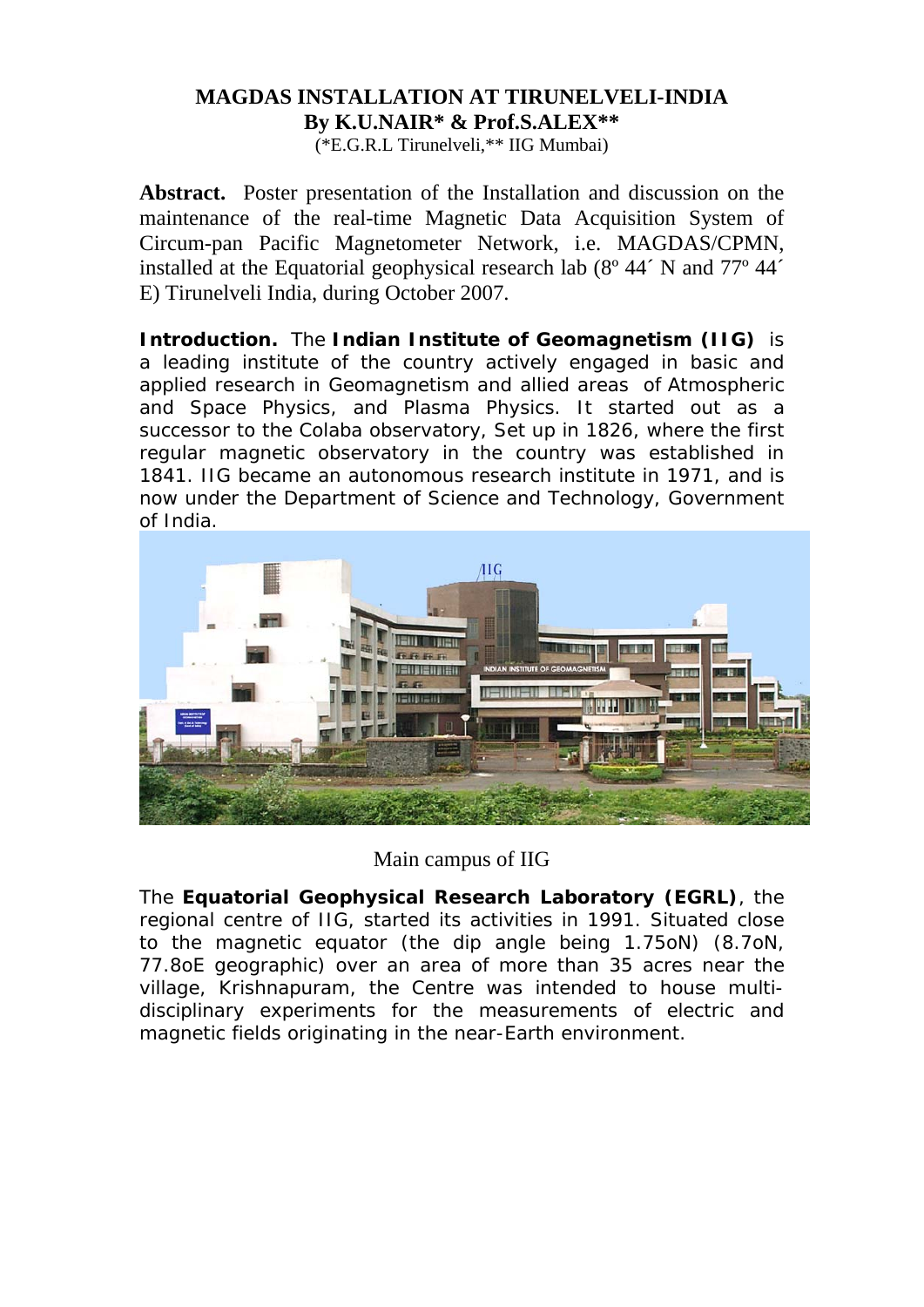## **MAGDAS INSTALLATION AT TIRUNELVELI-INDIA By K.U.NAIR\* & Prof.S.ALEX\*\***

(\*E.G.R.L Tirunelveli,\*\* IIG Mumbai)

**Abstract.** Poster presentation of the Installation and discussion on the maintenance of the real-time Magnetic Data Acquisition System of Circum-pan Pacific Magnetometer Network, i.e. MAGDAS/CPMN, installed at the Equatorial geophysical research lab (8º 44´ N and 77º 44´ E) Tirunelveli India, during October 2007.

**Introduction.** The **Indian Institute of Geomagnetism (IIG)** is a leading institute of the country actively engaged in basic and applied research in Geomagnetism and allied areas of Atmospheric and Space Physics, and Plasma Physics. It started out as a successor to the Colaba observatory, Set up in 1826, where the first regular magnetic observatory in the country was established in 1841. IIG became an autonomous research institute in 1971, and is now under the Department of Science and Technology, Government of India.



Main campus of IIG

The **Equatorial Geophysical Research Laboratory (EGRL)**, the regional centre of IIG, started its activities in 1991. Situated close to the magnetic equator (the dip angle being 1.75oN) (8.7oN, 77.8oE geographic) over an area of more than 35 acres near the village, Krishnapuram, the Centre was intended to house multidisciplinary experiments for the measurements of electric and magnetic fields originating in the near-Earth environment.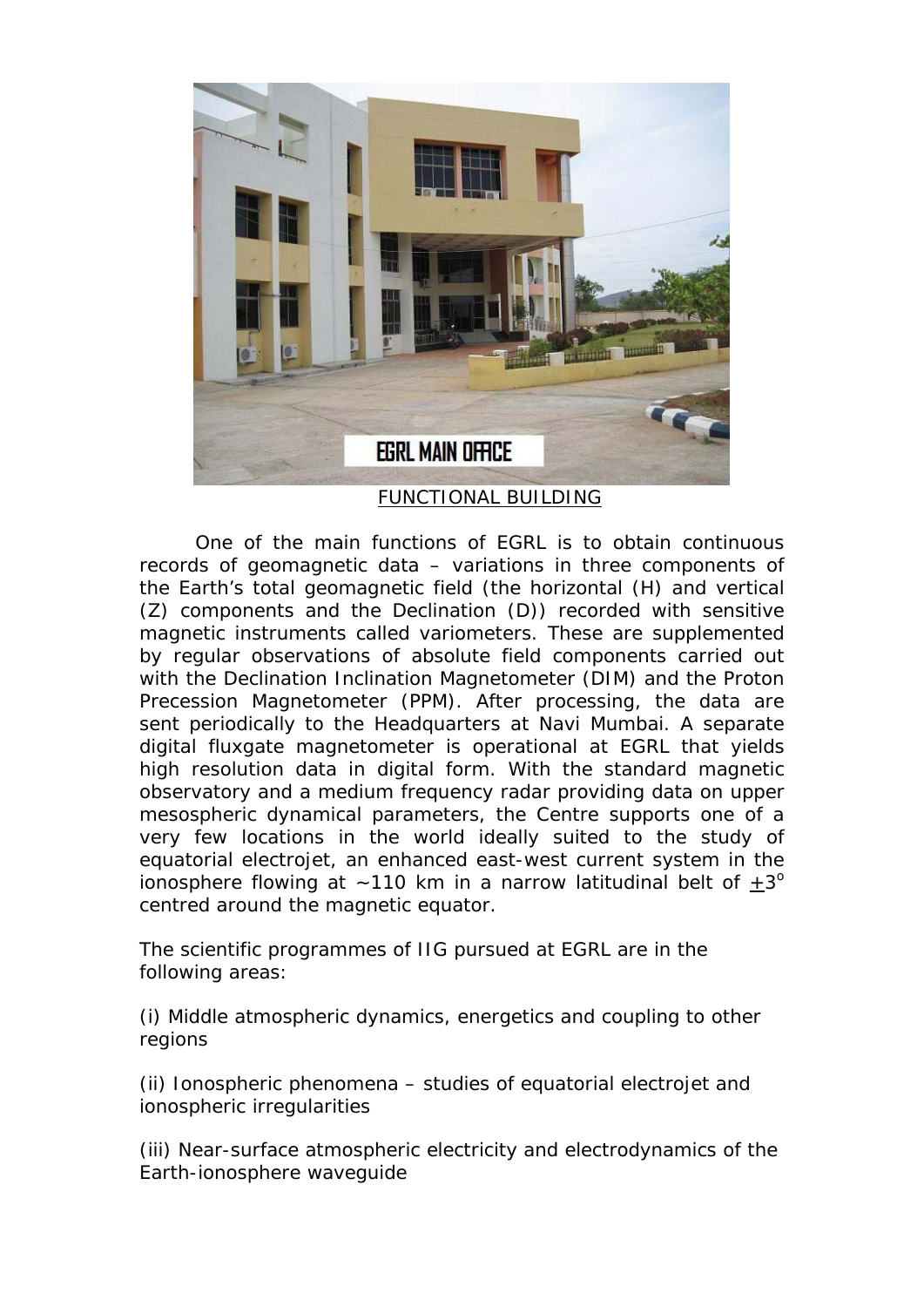

One of the main functions of EGRL is to obtain continuous records of geomagnetic data – variations in three components of the Earth's total geomagnetic field (the horizontal (H) and vertical (Z) components and the Declination (D)) recorded with sensitive magnetic instruments called variometers. These are supplemented by regular observations of absolute field components carried out with the Declination Inclination Magnetometer (DIM) and the Proton Precession Magnetometer (PPM). After processing, the data are sent periodically to the Headquarters at Navi Mumbai. A separate digital fluxgate magnetometer is operational at EGRL that yields high resolution data in digital form. With the standard magnetic observatory and a medium frequency radar providing data on upper mesospheric dynamical parameters, the Centre supports one of a very few locations in the world ideally suited to the study of equatorial electrojet, an enhanced east-west current system in the ionosphere flowing at  $\sim$  110 km in a narrow latitudinal belt of  $+3^{\circ}$ centred around the magnetic equator.

The scientific programmes of IIG pursued at EGRL are in the following areas:

(i) Middle atmospheric dynamics, energetics and coupling to other regions

(ii) Ionospheric phenomena – studies of equatorial electrojet and ionospheric irregularities

(iii) Near-surface atmospheric electricity and electrodynamics of the Earth-ionosphere waveguide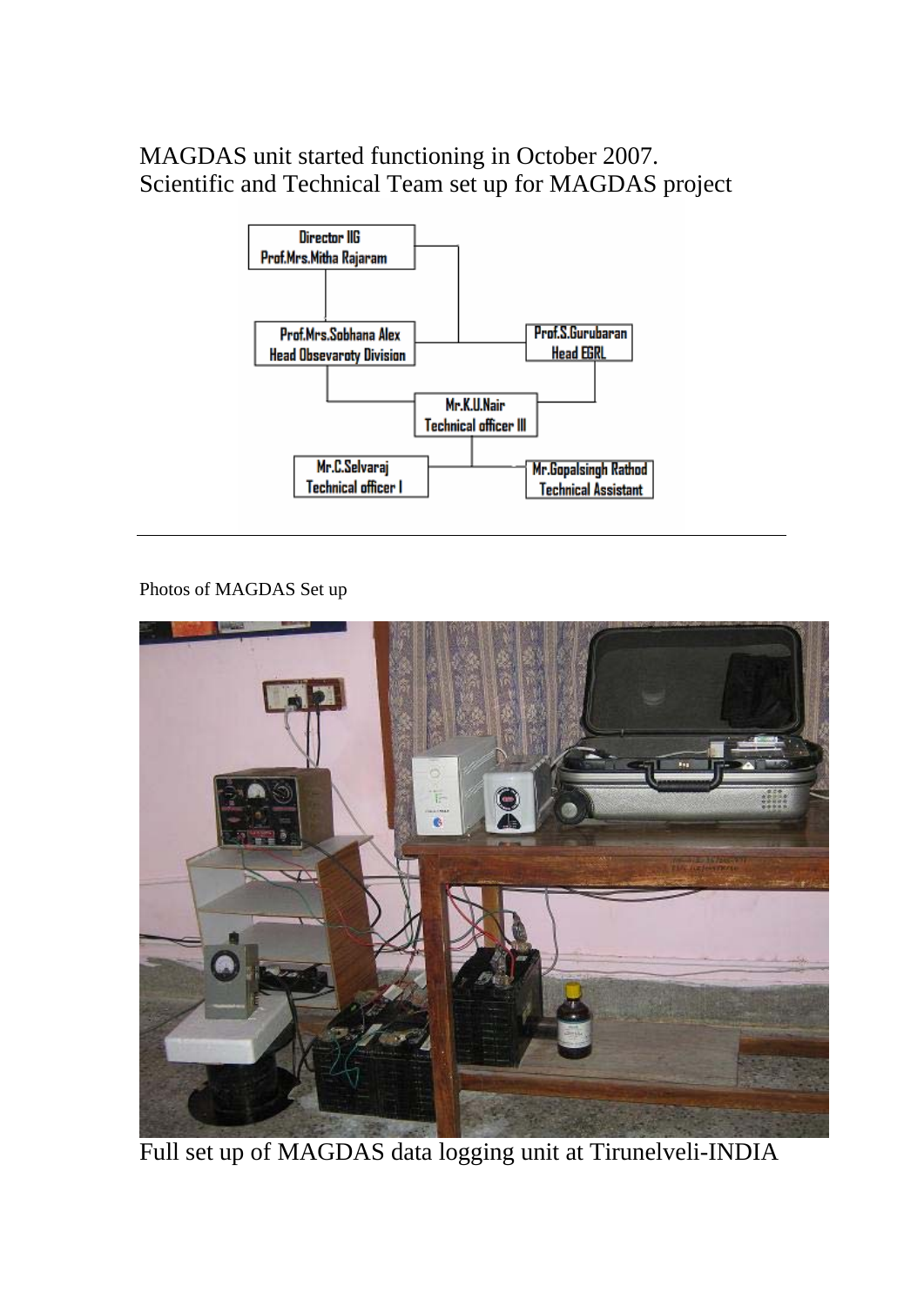MAGDAS unit started functioning in October 2007. Scientific and Technical Team set up for MAGDAS project



Photos of MAGDAS Set up



Full set up of MAGDAS data logging unit at Tirunelveli-INDIA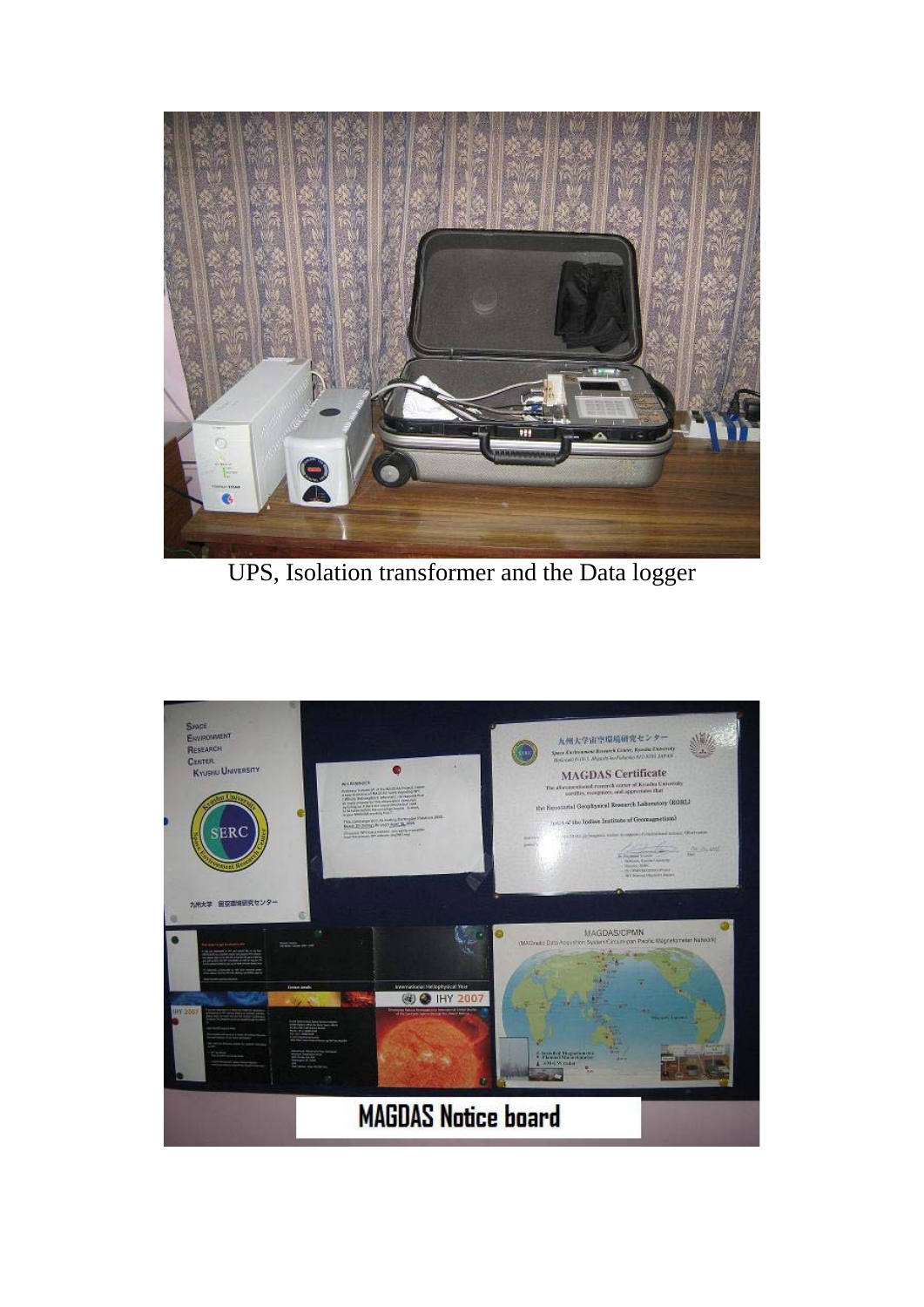

UPS, Isolation transformer and the Data logger

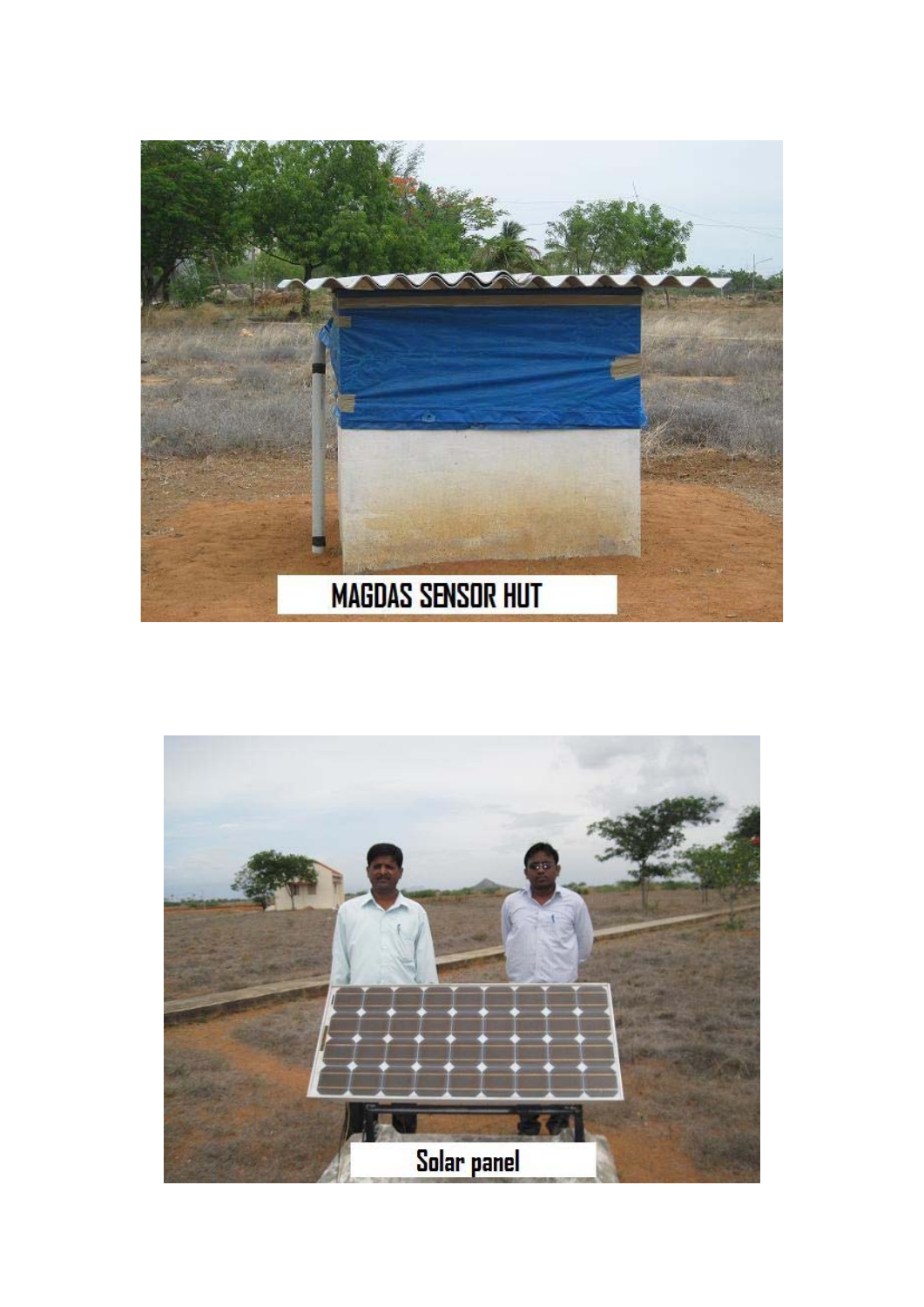

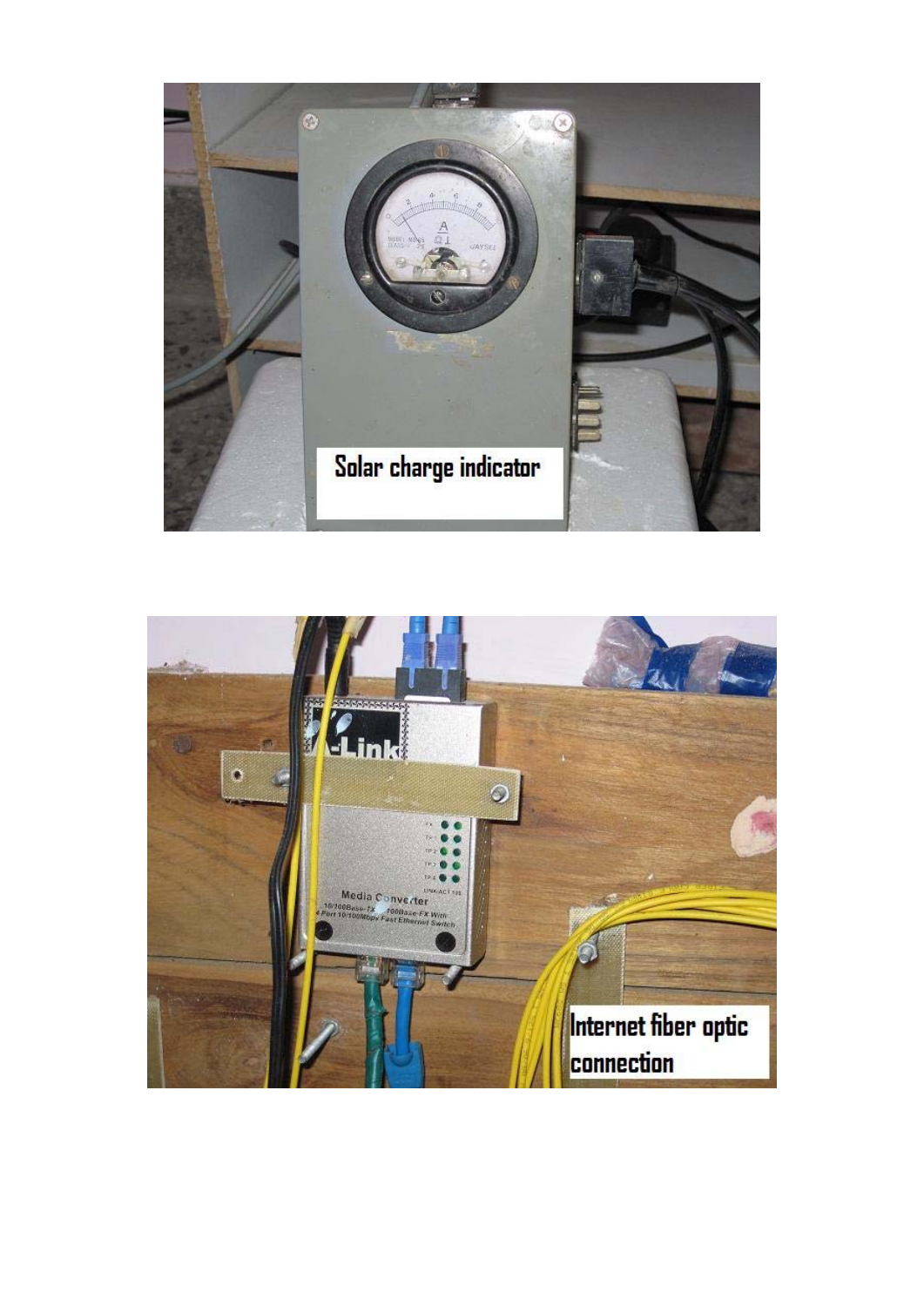